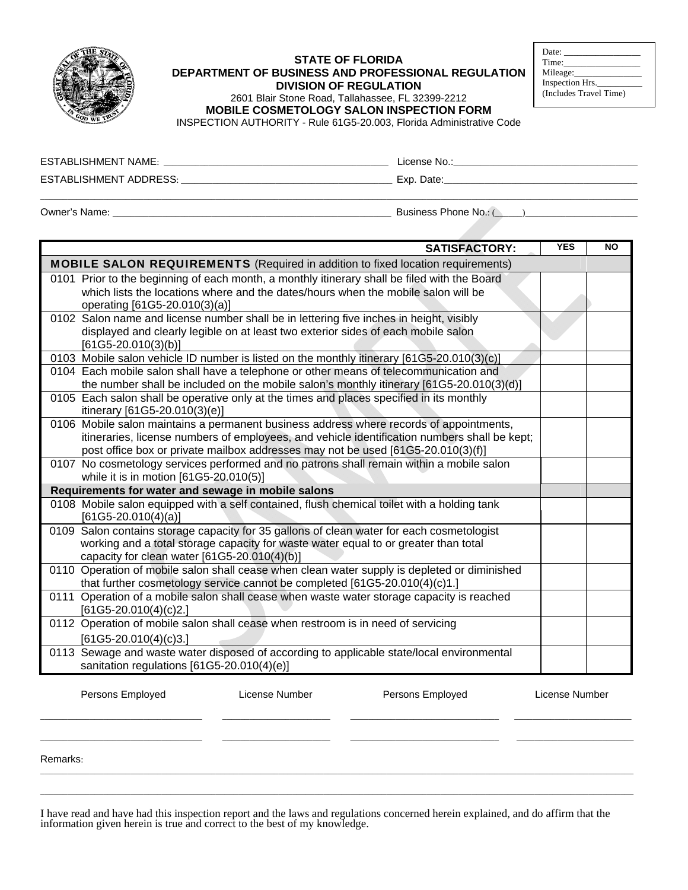

## **STATE OF FLORIDA DEPARTMENT OF BUSINESS AND PROFESSIONAL REGULATION DIVISION OF REGULATION**

| Date:                  |  |
|------------------------|--|
| Time:                  |  |
| Mileage:               |  |
| Inspection Hrs.        |  |
| (Includes Travel Time) |  |

2601 Blair Stone Road, Tallahassee, FL 32399-2212

**MOBILE COSMETOLOGY SALON INSPECTION FORM** 

INSPECTION AUTHORITY - Rule 61G5-20.003, Florida Administrative Code

| <b>ESTABLISHMENT NAME:</b> | License No.: |
|----------------------------|--------------|
| ESTABLISHMENT ADDRESS:     | Exp. Date:   |
|                            |              |

Owner's Name: \_\_\_\_\_\_\_\_\_\_\_\_\_\_\_\_\_\_\_\_\_\_\_\_\_\_\_\_\_\_\_\_\_\_\_\_\_\_\_\_\_\_\_\_\_\_\_\_\_\_\_\_\_\_\_\_\_\_\_\_\_\_ Business Phone No.: (\_\_\_\_\_\_)\_\_\_\_\_\_\_\_\_\_\_\_\_\_\_\_\_\_\_\_\_\_\_\_\_

| <b>SATISFACTORY:</b>                                                                                                                                                                                                                                                        | <b>YES</b>     | NO |  |  |  |
|-----------------------------------------------------------------------------------------------------------------------------------------------------------------------------------------------------------------------------------------------------------------------------|----------------|----|--|--|--|
| <b>MOBILE SALON REQUIREMENTS</b> (Required in addition to fixed location requirements)                                                                                                                                                                                      |                |    |  |  |  |
| 0101 Prior to the beginning of each month, a monthly itinerary shall be filed with the Board<br>which lists the locations where and the dates/hours when the mobile salon will be<br>operating [61G5-20.010(3)(a)]                                                          |                |    |  |  |  |
| 0102 Salon name and license number shall be in lettering five inches in height, visibly<br>displayed and clearly legible on at least two exterior sides of each mobile salon<br>$[61G5-20.010(3)(b)]$                                                                       |                |    |  |  |  |
| 0103 Mobile salon vehicle ID number is listed on the monthly itinerary [61G5-20.010(3)(c)]                                                                                                                                                                                  |                |    |  |  |  |
| 0104 Each mobile salon shall have a telephone or other means of telecommunication and<br>the number shall be included on the mobile salon's monthly itinerary [61G5-20.010(3)(d)]                                                                                           |                |    |  |  |  |
| 0105 Each salon shall be operative only at the times and places specified in its monthly<br>itinerary [61G5-20.010(3)(e)]                                                                                                                                                   |                |    |  |  |  |
| 0106 Mobile salon maintains a permanent business address where records of appointments,<br>itineraries, license numbers of employees, and vehicle identification numbers shall be kept;<br>post office box or private mailbox addresses may not be used [61G5-20.010(3)(f)] |                |    |  |  |  |
| 0107 No cosmetology services performed and no patrons shall remain within a mobile salon<br>while it is in motion [61G5-20.010(5)]                                                                                                                                          |                |    |  |  |  |
| Requirements for water and sewage in mobile salons                                                                                                                                                                                                                          |                |    |  |  |  |
| 0108 Mobile salon equipped with a self contained, flush chemical toilet with a holding tank<br>$[61G5-20.010(4)(a)]$                                                                                                                                                        |                |    |  |  |  |
| 0109 Salon contains storage capacity for 35 gallons of clean water for each cosmetologist<br>working and a total storage capacity for waste water equal to or greater than total<br>capacity for clean water [61G5-20.010(4)(b)]                                            |                |    |  |  |  |
| 0110 Operation of mobile salon shall cease when clean water supply is depleted or diminished<br>that further cosmetology service cannot be completed [61G5-20.010(4)(c)1.]                                                                                                  |                |    |  |  |  |
| 0111 Operation of a mobile salon shall cease when waste water storage capacity is reached<br>$[61G5-20.010(4)(c)2.]$                                                                                                                                                        |                |    |  |  |  |
| 0112 Operation of mobile salon shall cease when restroom is in need of servicing<br>$[61G5-20.010(4)(c)3.]$                                                                                                                                                                 |                |    |  |  |  |
| 0113 Sewage and waste water disposed of according to applicable state/local environmental<br>sanitation regulations [61G5-20.010(4)(e)]                                                                                                                                     |                |    |  |  |  |
| License Number<br>Persons Employed<br>Persons Employed                                                                                                                                                                                                                      | License Number |    |  |  |  |

Remarks:

I have read and have had this inspection report and the laws and regulations concerned herein explained, and do affirm that the information given herein is true and correct to the best of my knowledge.

\_\_\_\_\_\_\_\_\_\_\_\_\_\_\_\_\_\_\_\_\_\_\_\_\_\_\_\_\_\_\_\_\_\_\_\_ \_\_\_\_\_\_\_\_\_\_\_\_\_\_\_\_\_\_\_\_\_\_\_\_ \_\_\_\_\_\_\_\_\_\_\_\_\_\_\_\_\_\_\_\_\_\_\_\_\_\_\_\_\_\_\_\_\_ \_\_\_\_\_\_\_\_\_\_\_\_\_\_\_\_\_\_\_\_\_\_\_\_\_\_ \_\_\_\_\_\_\_\_\_\_\_\_\_\_\_\_\_\_\_\_\_\_\_\_\_\_\_\_\_\_\_\_\_\_\_\_ \_\_\_\_\_\_\_\_\_\_\_\_\_\_\_\_\_\_\_\_\_\_\_\_ \_\_\_\_\_\_\_\_\_\_\_\_\_\_\_\_\_\_\_\_\_\_\_\_\_\_\_\_\_\_\_\_\_ \_\_\_\_\_\_\_\_\_\_\_\_\_\_\_\_\_\_\_\_\_\_\_\_\_\_

\_\_\_\_\_\_\_\_\_\_\_\_\_\_\_\_\_\_\_\_\_\_\_\_\_\_\_\_\_\_\_\_\_\_\_\_\_\_\_\_\_\_\_\_\_\_\_\_\_\_\_\_\_\_\_\_\_\_\_\_\_\_\_\_\_\_\_\_\_\_\_\_\_\_\_\_\_\_\_\_\_\_\_\_\_\_\_\_\_\_\_\_\_\_\_\_\_\_\_\_\_\_\_\_\_\_\_\_\_\_\_\_\_\_\_\_\_\_\_\_\_\_\_\_\_\_\_\_\_\_\_\_ \_\_\_\_\_\_\_\_\_\_\_\_\_\_\_\_\_\_\_\_\_\_\_\_\_\_\_\_\_\_\_\_\_\_\_\_\_\_\_\_\_\_\_\_\_\_\_\_\_\_\_\_\_\_\_\_\_\_\_\_\_\_\_\_\_\_\_\_\_\_\_\_\_\_\_\_\_\_\_\_\_\_\_\_\_\_\_\_\_\_\_\_\_\_\_\_\_\_\_\_\_\_\_\_\_\_\_\_\_\_\_\_\_\_\_\_\_\_\_\_\_\_\_\_\_\_\_\_\_\_\_\_